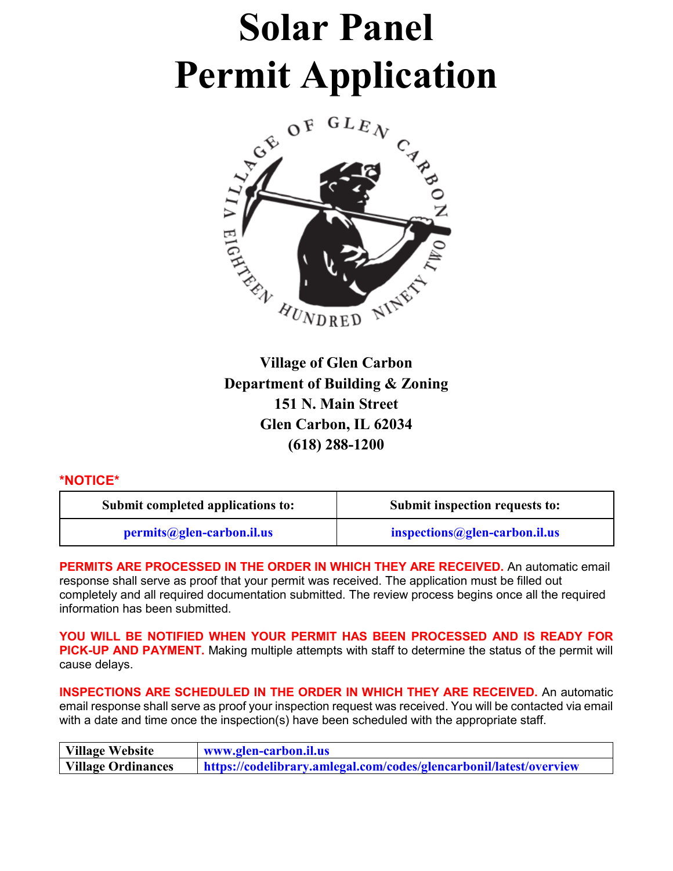# **Solar Panel Permit Application**



**Village of Glen Carbon Department of Building & Zoning 151 N. Main Street Glen Carbon, IL 62034 (618) 288-1200**

#### **\*NOTICE\***

| Submit completed applications to: | Submit inspection requests to: |  |
|-----------------------------------|--------------------------------|--|
| permits@glen-carbon.il.us         | inspections@glen-carbon.il.us  |  |

**PERMITS ARE PROCESSED IN THE ORDER IN WHICH THEY ARE RECEIVED.** An automatic email response shall serve as proof that your permit was received. The application must be filled out completely and all required documentation submitted. The review process begins once all the required information has been submitted.

**YOU WILL BE NOTIFIED WHEN YOUR PERMIT HAS BEEN PROCESSED AND IS READY FOR PICK-UP AND PAYMENT.** Making multiple attempts with staff to determine the status of the permit will cause delays.

**INSPECTIONS ARE SCHEDULED IN THE ORDER IN WHICH THEY ARE RECEIVED.** An automatic email response shall serve as proof your inspection request was received. You will be contacted via email with a date and time once the inspection(s) have been scheduled with the appropriate staff.

| <b>Village Website</b>    | www.glen-carbon.il.us                                              |
|---------------------------|--------------------------------------------------------------------|
| <b>Village Ordinances</b> | https://codelibrary.amlegal.com/codes/glencarbonil/latest/overview |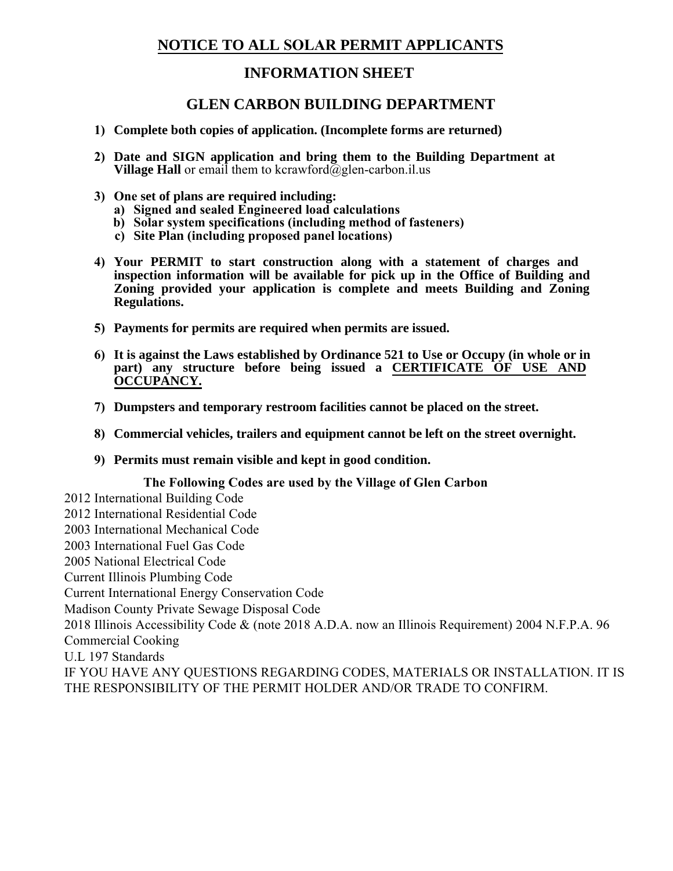# **NOTICE TO ALL SOLAR PERMIT APPLICANTS**

# **INFORMATION SHEET**

## **GLEN CARBON BUILDING DEPARTMENT**

- **1) Complete both copies of application. (Incomplete forms are returned)**
- **2) Date and SIGN application and bring them to the Building Department at Village Hall** or email them to kcrawford $\alpha$ glen-carbon.il.us
- **3) One set of plans are required including:**
	- **a) Signed and sealed Engineered load calculations**
	- **b) Solar system specifications (including method of fasteners)**
	- **c) Site Plan (including proposed panel locations)**
- **4) Your PERMIT to start construction along with a statement of charges and inspection information will be available for pick up in the Office of Building and Zoning provided your application is complete and meets Building and Zoning Regulations.**
- **5) Payments for permits are required when permits are issued.**
- **6) It is against the Laws established by Ordinance 521 to Use or Occupy (in whole or in part) any structure before being issued a CERTIFICATE OF USE AND OCCUPANCY.**
- **7) Dumpsters and temporary restroom facilities cannot be placed on the street.**
- **8) Commercial vehicles, trailers and equipment cannot be left on the street overnight.**
- **9) Permits must remain visible and kept in good condition.**

#### **The Following Codes are used by the Village of Glen Carbon**

2012 International Building Code 2012 International Residential Code 2003 International Mechanical Code 2003 International Fuel Gas Code 2005 National Electrical Code Current Illinois Plumbing Code Current International Energy Conservation Code Madison County Private Sewage Disposal Code 2018 Illinois Accessibility Code & (note 2018 A.D.A. now an Illinois Requirement) 2004 N.F.P.A. 96 Commercial Cooking U.L 197 Standards IF YOU HAVE ANY QUESTIONS REGARDING CODES, MATERIALS OR INSTALLATION. IT IS THE RESPONSIBILITY OF THE PERMIT HOLDER AND/OR TRADE TO CONFIRM.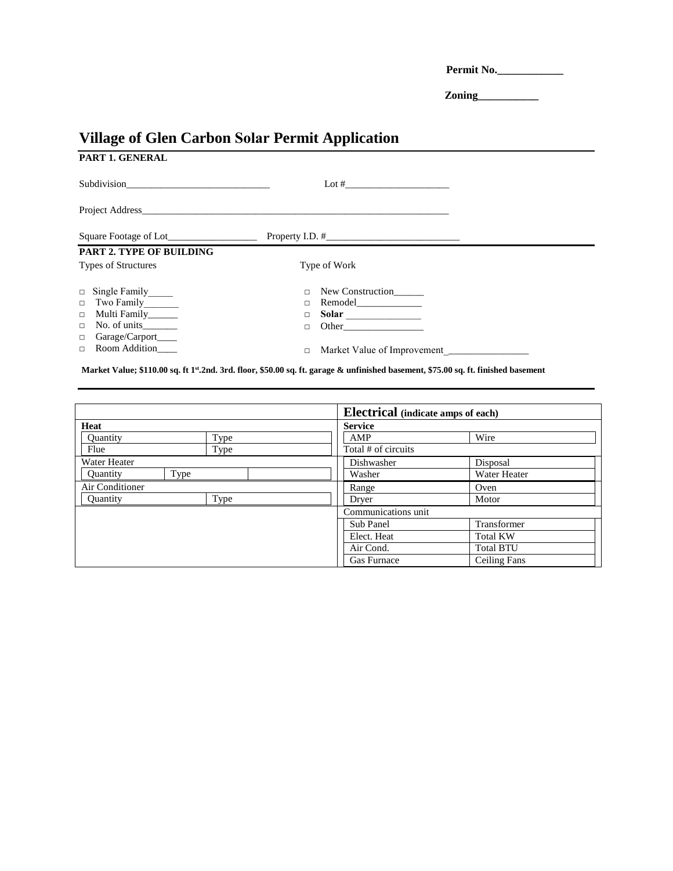**Permit No.\_\_\_\_\_\_\_\_\_\_\_\_**

**Zoning\_\_\_\_\_\_\_\_\_\_\_**

# **Village of Glen Carbon Solar Permit Application**

| PART 1. GENERAL                 |        |                  |
|---------------------------------|--------|------------------|
|                                 |        |                  |
|                                 |        |                  |
|                                 |        |                  |
| <b>PART 2. TYPE OF BUILDING</b> |        |                  |
| <b>Types of Structures</b>      |        | Type of Work     |
| □ Single Family_____            | $\Box$ | New Construction |
| Two Family_______<br>$\Box$     | $\Box$ | Remodel          |
| Multi Family_____<br>$\Box$     | $\Box$ |                  |
| $\Box$                          | п      | Other            |
| Garage/Carport____<br>$\Box$    |        |                  |
| Room Addition<br>$\Box$         | $\Box$ |                  |

**Market Value; \$110.00 sq. ft 1st.2nd. 3rd. floor, \$50.00 sq. ft. garage & unfinished basement, \$75.00 sq. ft. finished basement**

|                 |      |                     | <b>Electrical</b> (indicate amps of each) |  |  |
|-----------------|------|---------------------|-------------------------------------------|--|--|
| Heat            |      | <b>Service</b>      |                                           |  |  |
| <b>Quantity</b> | Type | AMP                 | Wire                                      |  |  |
| Flue            | Type | Total # of circuits |                                           |  |  |
| Water Heater    |      | Dishwasher          | Disposal                                  |  |  |
| Quantity        | Type | Washer              | Water Heater                              |  |  |
| Air Conditioner |      | Range               | Oven                                      |  |  |
| Ouantity        | Type | Dryer               | Motor                                     |  |  |
|                 |      |                     | Communications unit                       |  |  |
|                 |      | Sub Panel           | Transformer                               |  |  |
|                 |      | Elect. Heat         | <b>Total KW</b>                           |  |  |
|                 |      | Air Cond.           | <b>Total BTU</b>                          |  |  |
|                 |      | Gas Furnace         | <b>Ceiling Fans</b>                       |  |  |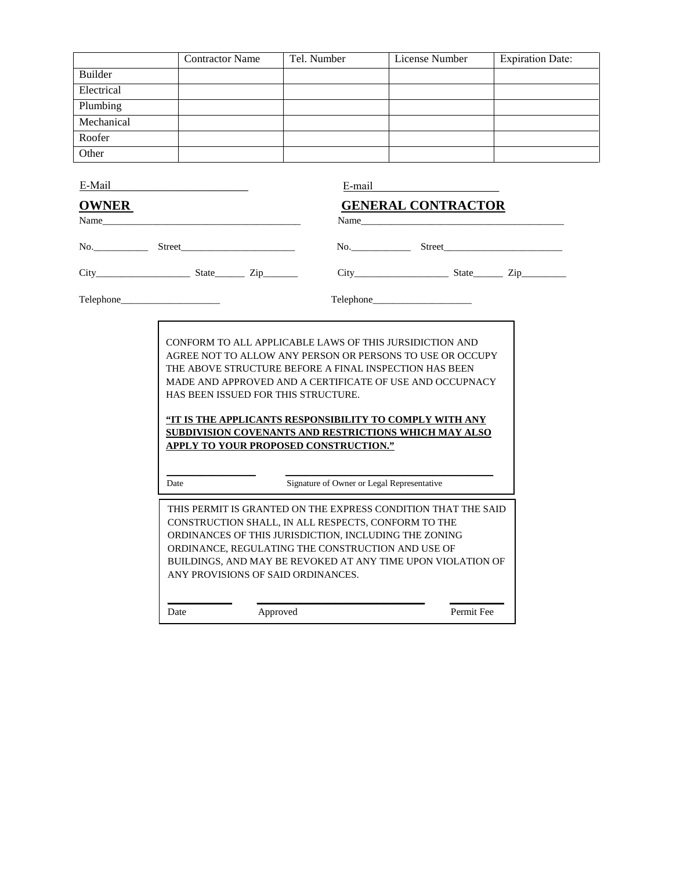|                                                                                                                                                                                                                                                                                                                                                                                                                                                                                                                                                                                                                                                   | <b>Contractor Name</b>                                                                                                                                                                                          | Tel. Number | License Number            | <b>Expiration Date:</b> |  |
|---------------------------------------------------------------------------------------------------------------------------------------------------------------------------------------------------------------------------------------------------------------------------------------------------------------------------------------------------------------------------------------------------------------------------------------------------------------------------------------------------------------------------------------------------------------------------------------------------------------------------------------------------|-----------------------------------------------------------------------------------------------------------------------------------------------------------------------------------------------------------------|-------------|---------------------------|-------------------------|--|
| Builder                                                                                                                                                                                                                                                                                                                                                                                                                                                                                                                                                                                                                                           |                                                                                                                                                                                                                 |             |                           |                         |  |
| Electrical                                                                                                                                                                                                                                                                                                                                                                                                                                                                                                                                                                                                                                        |                                                                                                                                                                                                                 |             |                           |                         |  |
| Plumbing                                                                                                                                                                                                                                                                                                                                                                                                                                                                                                                                                                                                                                          |                                                                                                                                                                                                                 |             |                           |                         |  |
| Mechanical                                                                                                                                                                                                                                                                                                                                                                                                                                                                                                                                                                                                                                        |                                                                                                                                                                                                                 |             |                           |                         |  |
| Roofer                                                                                                                                                                                                                                                                                                                                                                                                                                                                                                                                                                                                                                            |                                                                                                                                                                                                                 |             |                           |                         |  |
| Other                                                                                                                                                                                                                                                                                                                                                                                                                                                                                                                                                                                                                                             |                                                                                                                                                                                                                 |             |                           |                         |  |
| E-Mail and the same state of the state of the state of the state of the state of the state of the state of the state of the state of the state of the state of the state of the state of the state of the state of the state o                                                                                                                                                                                                                                                                                                                                                                                                                    |                                                                                                                                                                                                                 | E-mail      |                           |                         |  |
| <b>OWNER</b>                                                                                                                                                                                                                                                                                                                                                                                                                                                                                                                                                                                                                                      |                                                                                                                                                                                                                 |             | <b>GENERAL CONTRACTOR</b> |                         |  |
|                                                                                                                                                                                                                                                                                                                                                                                                                                                                                                                                                                                                                                                   |                                                                                                                                                                                                                 |             | No. Street                |                         |  |
|                                                                                                                                                                                                                                                                                                                                                                                                                                                                                                                                                                                                                                                   |                                                                                                                                                                                                                 |             |                           |                         |  |
|                                                                                                                                                                                                                                                                                                                                                                                                                                                                                                                                                                                                                                                   |                                                                                                                                                                                                                 |             |                           |                         |  |
| CONFORM TO ALL APPLICABLE LAWS OF THIS JURSIDICTION AND<br>AGREE NOT TO ALLOW ANY PERSON OR PERSONS TO USE OR OCCUPY<br>THE ABOVE STRUCTURE BEFORE A FINAL INSPECTION HAS BEEN<br>MADE AND APPROVED AND A CERTIFICATE OF USE AND OCCUPNACY<br>HAS BEEN ISSUED FOR THIS STRUCTURE.<br><u>"IT IS THE APPLICANTS RESPONSIBILITY TO COMPLY WITH ANY</u><br><b>SUBDIVISION COVENANTS AND RESTRICTIONS WHICH MAY ALSO</b><br><b>APPLY TO YOUR PROPOSED CONSTRUCTION."</b><br>Signature of Owner or Legal Representative<br>Date<br>THIS PERMIT IS GRANTED ON THE EXPRESS CONDITION THAT THE SAID<br>CONSTRUCTION SHALL, IN ALL RESPECTS, CONFORM TO THE |                                                                                                                                                                                                                 |             |                           |                         |  |
|                                                                                                                                                                                                                                                                                                                                                                                                                                                                                                                                                                                                                                                   | ORDINANCES OF THIS JURISDICTION, INCLUDING THE ZONING<br>ORDINANCE, REGULATING THE CONSTRUCTION AND USE OF<br>BUILDINGS, AND MAY BE REVOKED AT ANY TIME UPON VIOLATION OF<br>ANY PROVISIONS OF SAID ORDINANCES. |             |                           |                         |  |
|                                                                                                                                                                                                                                                                                                                                                                                                                                                                                                                                                                                                                                                   | Date                                                                                                                                                                                                            | Approved    | Permit Fee                |                         |  |